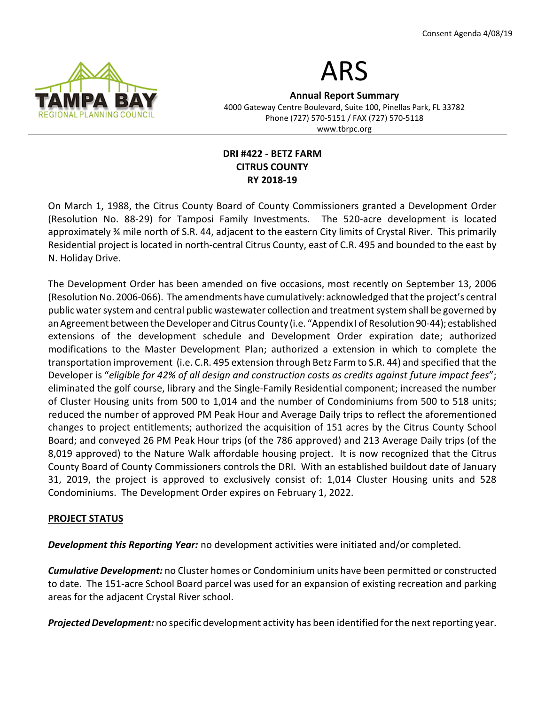

# ARS

Annual Report Summary 4000 Gateway Centre Boulevard, Suite 100, Pinellas Park, FL 33782 Phone (727) 570-5151 / FAX (727) 570-5118 www.tbrpc.org

## DRI #422 - BETZ FARM CITRUS COUNTY RY 2018-19

On March 1, 1988, the Citrus County Board of County Commissioners granted a Development Order (Resolution No. 88-29) for Tamposi Family Investments. The 520-acre development is located approximately ¾ mile north of S.R. 44, adjacent to the eastern City limits of Crystal River. This primarily Residential project is located in north-central Citrus County, east of C.R. 495 and bounded to the east by N. Holiday Drive.

The Development Order has been amended on five occasions, most recently on September 13, 2006 (Resolution No. 2006-066). The amendments have cumulatively: acknowledged that the project's central public water system and central public wastewater collection and treatment system shall be governed by an Agreement between the Developer and Citrus County (i.e. "Appendix I of Resolution 90-44); established extensions of the development schedule and Development Order expiration date; authorized modifications to the Master Development Plan; authorized a extension in which to complete the transportation improvement (i.e. C.R. 495 extension through Betz Farm to S.R. 44) and specified that the Developer is "eligible for 42% of all design and construction costs as credits against future impact fees"; eliminated the golf course, library and the Single-Family Residential component; increased the number of Cluster Housing units from 500 to 1,014 and the number of Condominiums from 500 to 518 units; reduced the number of approved PM Peak Hour and Average Daily trips to reflect the aforementioned changes to project entitlements; authorized the acquisition of 151 acres by the Citrus County School Board; and conveyed 26 PM Peak Hour trips (of the 786 approved) and 213 Average Daily trips (of the 8,019 approved) to the Nature Walk affordable housing project. It is now recognized that the Citrus County Board of County Commissioners controls the DRI. With an established buildout date of January 31, 2019, the project is approved to exclusively consist of: 1,014 Cluster Housing units and 528 Condominiums. The Development Order expires on February 1, 2022.

# PROJECT STATUS

**Development this Reporting Year:** no development activities were initiated and/or completed.

**Cumulative Development:** no Cluster homes or Condominium units have been permitted or constructed to date. The 151-acre School Board parcel was used for an expansion of existing recreation and parking areas for the adjacent Crystal River school.

**Projected Development:** no specific development activity has been identified for the next reporting year.